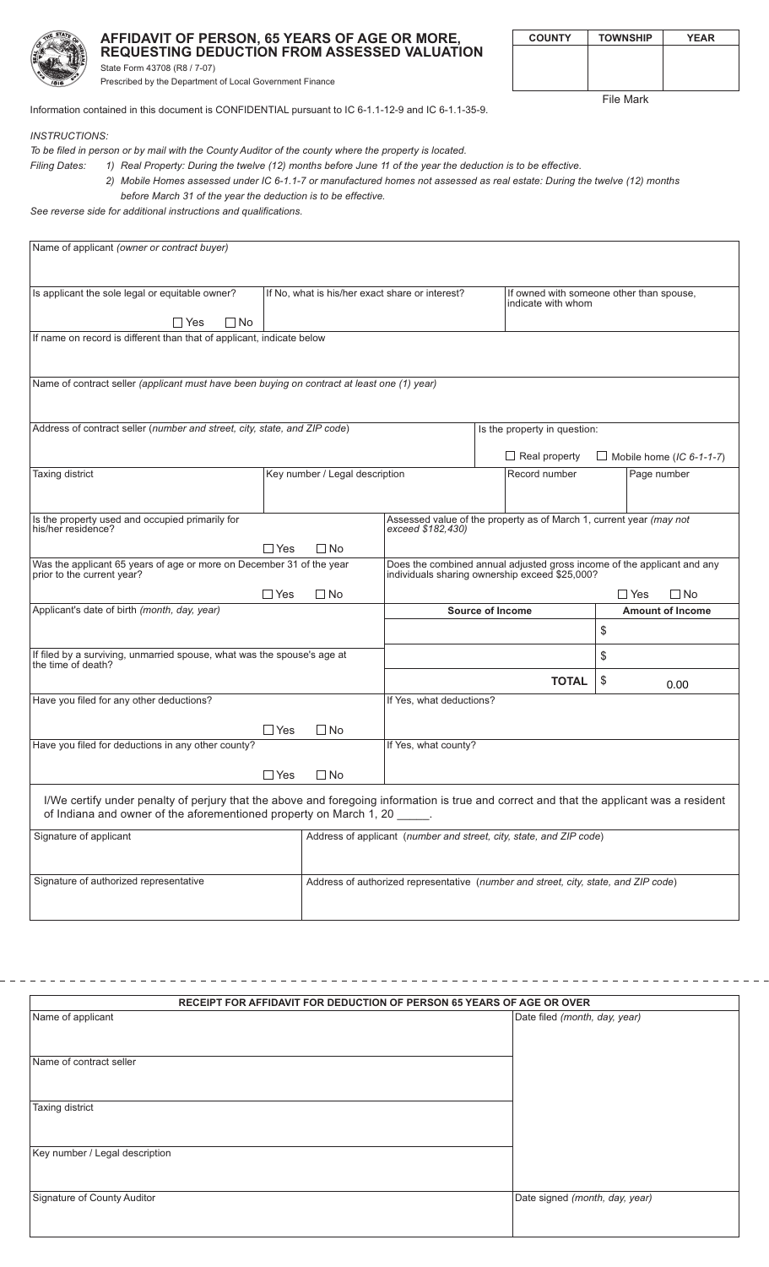

## AFFIDAVIT OF PERSON, 65 YEARS OF AGE OR MORE, REQUESTING DEDUCTION FROM ASSESSED VALUATION State Form 43708 (R8 / 7-07)

| <b>COUNTY</b> | <b>TOWNSHIP</b> | <b>YEAR</b> |
|---------------|-----------------|-------------|
|               |                 |             |
|               |                 |             |
|               |                 |             |

**File Mark** 

Information contained in this document is CONFIDENTIAL pursuant to IC 6-1.1-12-9 and IC 6-1.1-35-9.

**INSTRUCTIONS:** 

To be filed in person or by mail with the County Auditor of the county where the property is located.

Prescribed by the Department of Local Government Finance

1) Real Property: During the twelve (12) months before June 11 of the year the deduction is to be effective. **Filing Dates:** 

> 2) Mobile Homes assessed under IC 6-1.1-7 or manufactured homes not assessed as real estate: During the twelve (12) months before March 31 of the year the deduction is to be effective.

See reverse side for additional instructions and qualifications.

| Name of applicant (owner or contract buyer)                                                                                                                                                                           |                                                 |                                                                     |                                                                                                                           |                                                                |                      |    |                                 |
|-----------------------------------------------------------------------------------------------------------------------------------------------------------------------------------------------------------------------|-------------------------------------------------|---------------------------------------------------------------------|---------------------------------------------------------------------------------------------------------------------------|----------------------------------------------------------------|----------------------|----|---------------------------------|
|                                                                                                                                                                                                                       |                                                 |                                                                     |                                                                                                                           |                                                                |                      |    |                                 |
| Is applicant the sole legal or equitable owner?                                                                                                                                                                       | If No, what is his/her exact share or interest? |                                                                     |                                                                                                                           | If owned with someone other than spouse,<br>indicate with whom |                      |    |                                 |
| $\Box$ Yes<br>$\Box$ No                                                                                                                                                                                               |                                                 |                                                                     |                                                                                                                           |                                                                |                      |    |                                 |
| If name on record is different than that of applicant, indicate below                                                                                                                                                 |                                                 |                                                                     |                                                                                                                           |                                                                |                      |    |                                 |
|                                                                                                                                                                                                                       |                                                 |                                                                     |                                                                                                                           |                                                                |                      |    |                                 |
| Name of contract seller (applicant must have been buying on contract at least one (1) year)                                                                                                                           |                                                 |                                                                     |                                                                                                                           |                                                                |                      |    |                                 |
|                                                                                                                                                                                                                       |                                                 |                                                                     |                                                                                                                           |                                                                |                      |    |                                 |
| Address of contract seller (number and street, city, state, and ZIP code)                                                                                                                                             |                                                 |                                                                     | Is the property in question:                                                                                              |                                                                |                      |    |                                 |
|                                                                                                                                                                                                                       |                                                 |                                                                     |                                                                                                                           |                                                                | $\Box$ Real property |    | $\Box$ Mobile home (IC 6-1-1-7) |
| Taxing district                                                                                                                                                                                                       | Key number / Legal description                  |                                                                     |                                                                                                                           |                                                                | Record number        |    | Page number                     |
|                                                                                                                                                                                                                       |                                                 |                                                                     |                                                                                                                           |                                                                |                      |    |                                 |
| Is the property used and occupied primarily for<br>Assessed value of the property as of March 1, current year (may not<br>his/her residence?<br>exceed \$182,430)                                                     |                                                 |                                                                     |                                                                                                                           |                                                                |                      |    |                                 |
|                                                                                                                                                                                                                       | $\Box$ Yes                                      | $\Box$ No                                                           |                                                                                                                           |                                                                |                      |    |                                 |
| Was the applicant 65 years of age or more on December 31 of the year<br>prior to the current year?                                                                                                                    |                                                 |                                                                     | Does the combined annual adjusted gross income of the applicant and any<br>individuals sharing ownership exceed \$25,000? |                                                                |                      |    |                                 |
|                                                                                                                                                                                                                       | $\Box$ Yes                                      | $\Box$ No                                                           | $\Box$ Yes<br>$\Box$ No                                                                                                   |                                                                |                      |    |                                 |
| Applicant's date of birth (month, day, year)                                                                                                                                                                          |                                                 |                                                                     |                                                                                                                           | <b>Source of Income</b>                                        |                      | \$ | <b>Amount of Income</b>         |
|                                                                                                                                                                                                                       |                                                 |                                                                     |                                                                                                                           |                                                                |                      |    |                                 |
| If filed by a surviving, unmarried spouse, what was the spouse's age at<br>the time of death?                                                                                                                         |                                                 |                                                                     |                                                                                                                           |                                                                |                      | \$ |                                 |
|                                                                                                                                                                                                                       |                                                 |                                                                     |                                                                                                                           |                                                                | <b>TOTAL</b>         | \$ | 0.00                            |
| Have you filed for any other deductions?                                                                                                                                                                              |                                                 |                                                                     | If Yes, what deductions?                                                                                                  |                                                                |                      |    |                                 |
| Have you filed for deductions in any other county?                                                                                                                                                                    | $\Box$ Yes                                      | $\Box$ No                                                           | If Yes, what county?                                                                                                      |                                                                |                      |    |                                 |
|                                                                                                                                                                                                                       |                                                 |                                                                     |                                                                                                                           |                                                                |                      |    |                                 |
|                                                                                                                                                                                                                       | $\Box$ Yes                                      | ∐ No                                                                |                                                                                                                           |                                                                |                      |    |                                 |
| I/We certify under penalty of perjury that the above and foregoing information is true and correct and that the applicant was a resident<br>of Indiana and owner of the aforementioned property on March 1, 20 _____. |                                                 |                                                                     |                                                                                                                           |                                                                |                      |    |                                 |
| Signature of applicant                                                                                                                                                                                                |                                                 | Address of applicant (number and street, city, state, and ZIP code) |                                                                                                                           |                                                                |                      |    |                                 |
| Signature of authorized representative                                                                                                                                                                                |                                                 |                                                                     | Address of authorized representative (number and street, city, state, and ZIP code)                                       |                                                                |                      |    |                                 |

| RECEIPT FOR AFFIDAVIT FOR DEDUCTION OF PERSON 65 YEARS OF AGE OR OVER |                                |  |  |  |
|-----------------------------------------------------------------------|--------------------------------|--|--|--|
| Name of applicant                                                     | Date filed (month, day, year)  |  |  |  |
|                                                                       |                                |  |  |  |
|                                                                       |                                |  |  |  |
| Name of contract seller                                               |                                |  |  |  |
|                                                                       |                                |  |  |  |
| Taxing district                                                       |                                |  |  |  |
|                                                                       |                                |  |  |  |
|                                                                       |                                |  |  |  |
| Key number / Legal description                                        |                                |  |  |  |
|                                                                       |                                |  |  |  |
|                                                                       |                                |  |  |  |
| Signature of County Auditor                                           | Date signed (month, day, year) |  |  |  |
|                                                                       |                                |  |  |  |